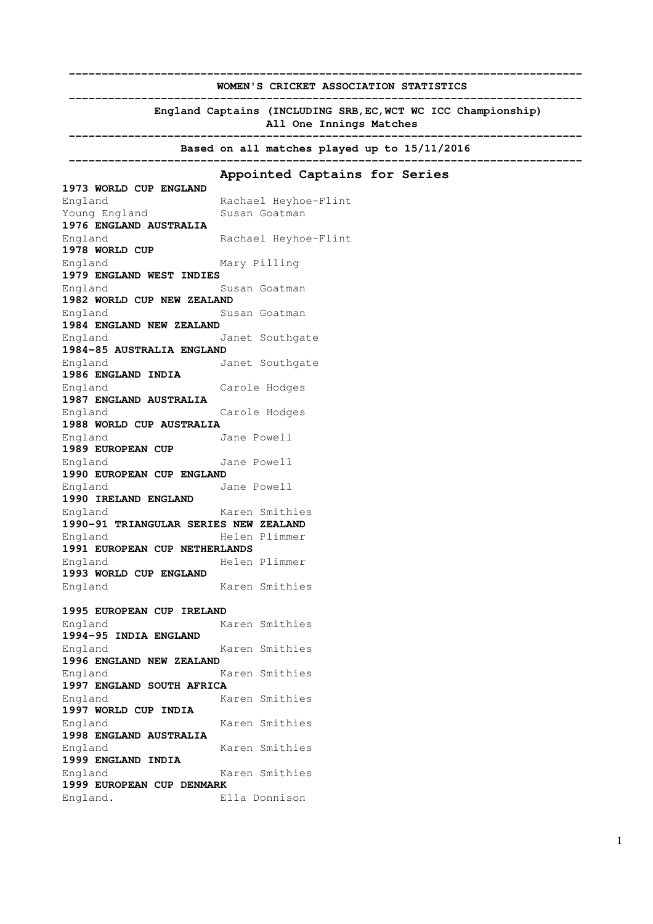**------------------------------------------------------------------------------ WOMEN'S CRICKET ASSOCIATION STATISTICS ------------------------------------------------------------------------------ England Captains (INCLUDING SRB,EC,WCT WC ICC Championship) All One Innings Matches ------------------------------------------------------------------------------ Based on all matches played up to 15/11/2016 ------------------------------------------------------------------------------ Appointed Captains for Series 1973 WORLD CUP ENGLAND**  England Rachael Heyhoe-Flint Young England Susan Goatman **1976 ENGLAND AUSTRALIA** England Rachael Heyhoe-Flint **1978 WORLD CUP**  England Mary Pilling **1979 ENGLAND WEST INDIES** England Susan Goatman **1982 WORLD CUP NEW ZEALAND** England Susan Goatman **1984 ENGLAND NEW ZEALAND** England Janet Southgate **1984-85 AUSTRALIA ENGLAND** England Janet Southgate **1986 ENGLAND INDIA** England Carole Hodges **1987 ENGLAND AUSTRALIA**  England Carole Hodges **1988 WORLD CUP AUSTRALIA** England Jane Powell **1989 EUROPEAN CUP** England Jane Powell **1990 EUROPEAN CUP ENGLAND** England Jane Powell **1990 IRELAND ENGLAND** England Karen Smithies **1990-91 TRIANGULAR SERIES NEW ZEALAND** England Helen Plimmer **1991 EUROPEAN CUP NETHERLANDS** England Helen Plimmer **1993 WORLD CUP ENGLAND** England Karen Smithies **1995 EUROPEAN CUP IRELAND** England Karen Smithies **1994-95 INDIA ENGLAND**  England Karen Smithies **1996 ENGLAND NEW ZEALAND**  England Karen Smithies **1997 ENGLAND SOUTH AFRICA** England Karen Smithies **1997 WORLD CUP INDIA** England Karen Smithies **1998 ENGLAND AUSTRALIA** England Karen Smithies **1999 ENGLAND INDIA** England Karen Smithies **1999 EUROPEAN CUP DENMARK** England. Ella Donnison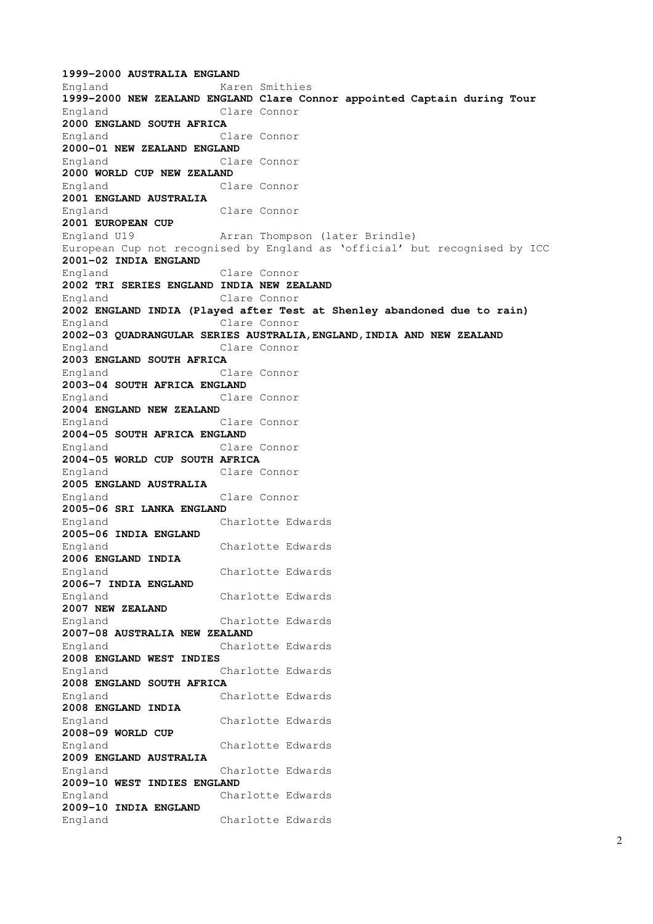```
1999-2000 AUSTRALIA ENGLAND
England Karen Smithies 
1999-2000 NEW ZEALAND ENGLAND Clare Connor appointed Captain during Tour 
England Clare Connor 
2000 ENGLAND SOUTH AFRICA
England Clare Connor 
2000-01 NEW ZEALAND ENGLAND 
England Clare Connor 
2000 WORLD CUP NEW ZEALAND
England Clare Connor 
2001 ENGLAND AUSTRALIA
England Clare Connor 
2001 EUROPEAN CUP 
England U19 Arran Thompson (later Brindle) 
European Cup not recognised by England as 'official' but recognised by ICC 
2001-02 INDIA ENGLAND 
England Clare Connor 
2002 TRI SERIES ENGLAND INDIA NEW ZEALAND
England Clare Connor 
2002 ENGLAND INDIA (Played after Test at Shenley abandoned due to rain) 
England Clare Connor 
2002-03 QUADRANGULAR SERIES AUSTRALIA,ENGLAND,INDIA AND NEW ZEALAND
England Clare Connor 
2003 ENGLAND SOUTH AFRICA
England Clare Connor 
2003-04 SOUTH AFRICA ENGLAND
England Clare Connor 
2004 ENGLAND NEW ZEALAND 
England Clare Connor 
2004-05 SOUTH AFRICA ENGLAND 
England Clare Connor 
2004-05 WORLD CUP SOUTH AFRICA 
England Clare Connor 
2005 ENGLAND AUSTRALIA 
England Clare Connor 
2005-06 SRI LANKA ENGLAND 
England Charlotte Edwards 
2005-06 INDIA ENGLAND 
England Charlotte Edwards 
2006 ENGLAND INDIA 
England Charlotte Edwards 
2006-7 INDIA ENGLAND 
England Charlotte Edwards 
2007 NEW ZEALAND 
England Charlotte Edwards 
2007-08 AUSTRALIA NEW ZEALAND 
England Charlotte Edwards 
2008 ENGLAND WEST INDIES 
England Charlotte Edwards 
2008 ENGLAND SOUTH AFRICA 
England Charlotte Edwards 
2008 ENGLAND INDIA 
England Charlotte Edwards 
2008-09 WORLD CUP 
England Charlotte Edwards 
2009 ENGLAND AUSTRALIA 
England Charlotte Edwards 
2009-10 WEST INDIES ENGLAND 
England Charlotte Edwards 
2009-10 INDIA ENGLAND 
England Charlotte Edwards
```